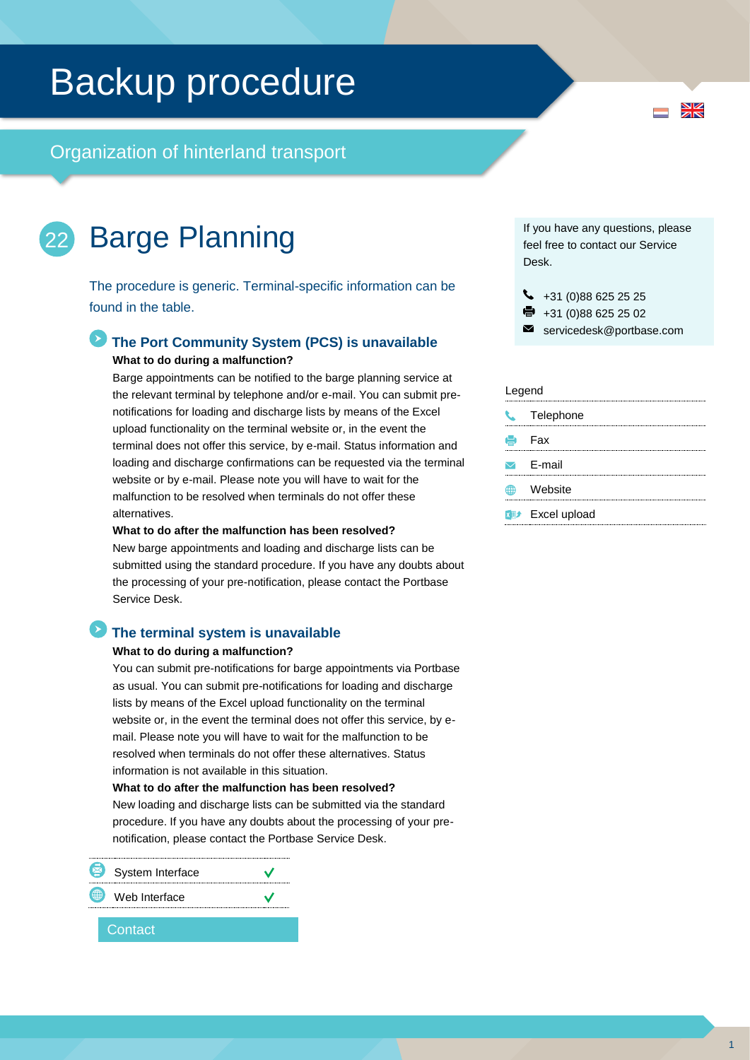# Backup procedure

Organization of hinterland transport

### Barge Planning 22

The procedure is generic. Terminal-specific information can be found in the table.

### **The Port Community System (PCS) is unavailable What to do during a malfunction?**

Barge appointments can be notified to the barge planning service at the relevant terminal by telephone and/or e-mail. You can submit prenotifications for loading and discharge lists by means of the Excel upload functionality on the terminal website or, in the event the terminal does not offer this service, by e-mail. Status information and loading and discharge confirmations can be requested via the terminal website or by e-mail. Please note you will have to wait for the malfunction to be resolved when terminals do not offer these alternatives.

**What to do after the malfunction has been resolved?**

New barge appointments and loading and discharge lists can be submitted using the standard procedure. If you have any doubts about the processing of your pre-notification, please contact the Portbase Service Desk.

### **The terminal system is unavailable**

#### **What to do during a malfunction?**

You can submit pre-notifications for barge appointments via Portbase as usual. You can submit pre-notifications for loading and discharge lists by means of the Excel upload functionality on the terminal website or, in the event the terminal does not offer this service, by email. Please note you will have to wait for the malfunction to be resolved when terminals do not offer these alternatives. Status information is not available in this situation.

**What to do after the malfunction has been resolved?**

New loading and discharge lists can be submitted via the standard procedure. If you have any doubts about the processing of your prenotification, please contact the Portbase Service Desk.

|             | System Interface |  |
|-------------|------------------|--|
| $\bigoplus$ | Web Interface    |  |
|             |                  |  |

### **Contact**

If you have any questions, please feel free to contact our Service Desk.

- $\bigcup$  +31 (0)88 625 25 25
- +31 (0)88 625 25 02
- servicedesk@portbase.com

### Legend

| $\mathcal{L}$ | Telephone               |
|---------------|-------------------------|
|               | $\blacksquare$ Fax      |
|               | $\triangleright$ E-mail |
| ∰             | Website                 |
|               | <b>XII</b> Excel upload |

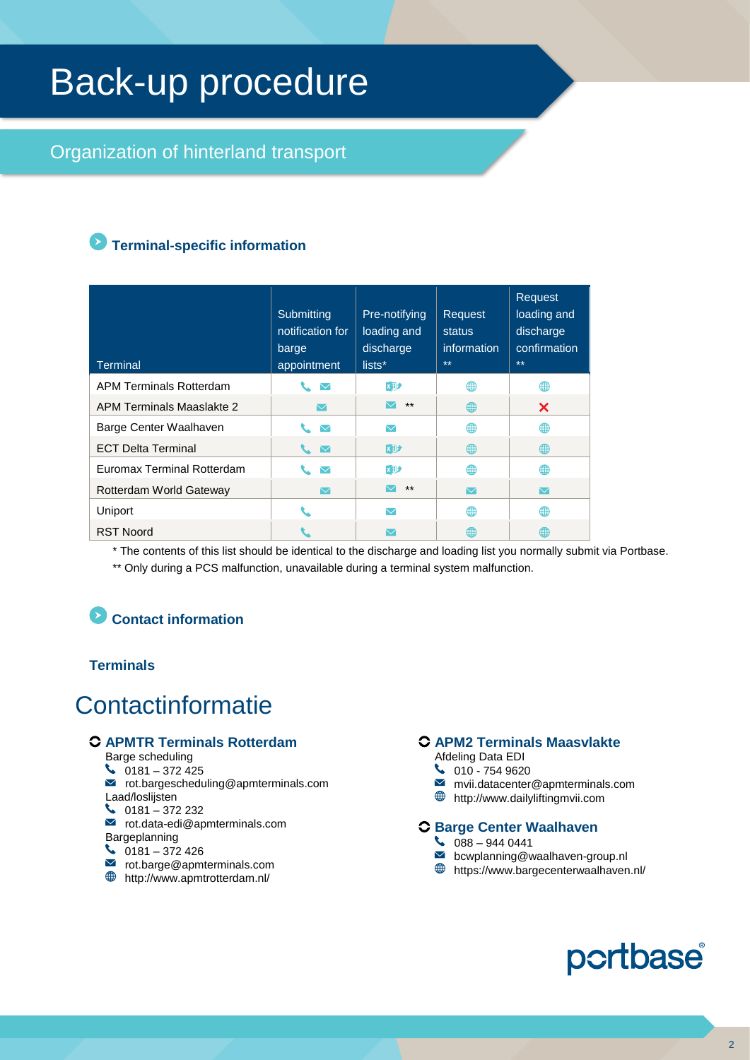# Back-up procedure

## Organization of hinterland transport

## **Terminal-specific information**

| <b>Terminal</b>            | Submitting<br>notification for<br>barge<br>appointment | Pre-notifying<br>loading and<br>discharge<br>lists* | Request<br>status<br>information<br>$***$ | Request<br>loading and<br>discharge<br>confirmation<br>$**$ |
|----------------------------|--------------------------------------------------------|-----------------------------------------------------|-------------------------------------------|-------------------------------------------------------------|
| APM Terminals Rotterdam    | $\sim$ $\sim$                                          | <b>x</b> 動                                          | ∰                                         | ⊕                                                           |
| APM Terminals Maaslakte 2  | $\triangledown$                                        | $***$                                               | ∰                                         | X                                                           |
| Barge Center Waalhaven     | $\triangledown$                                        | $\blacktriangledown$                                | ∰                                         | ⊕                                                           |
| <b>ECT Delta Terminal</b>  | $\sim$ $\sim$                                          | 网                                                   | ⊕                                         | ⊕                                                           |
| Euromax Terminal Rotterdam | $\blacktriangledown$                                   | <b>X→</b>                                           | ⊕                                         | ⊕                                                           |
| Rotterdam World Gateway    | $\boxtimes$                                            | $***$                                               | $\triangledown$                           | $\triangledown$                                             |
| Uniport                    |                                                        | $\blacktriangledown$                                | ∰                                         | ⊕                                                           |
| <b>RST Noord</b>           |                                                        |                                                     | 雔                                         | ∰                                                           |

\* The contents of this list should be identical to the discharge and loading list you normally submit via Portbase.

\*\* Only during a PCS malfunction, unavailable during a terminal system malfunction.

# **Contact information**

### **Terminals**

# **Contactinformatie**

### **APMTR Terminals Rotterdam**

- Barge scheduling
- $\bigcup$  0181 372 425
- $\blacksquare$  rot.bargescheduling@apmterminals.com
- Laad/loslijsten  $\bigcup$  0181 – 372 232
- $\blacksquare$  rot.data-edi@apmterminals.com
- Bargeplanning
- $\bigcup$  0181 372 426
- rot.barge@apmterminals.com
- http://www.apmtrotterdam.nl/

### **APM2 Terminals Maasvlakte**

- Afdeling Data EDI
- $\bigcup$  010 754 9620  $\blacktriangledown$
- mvii.datacenter@apmterminals.com http://www.dailyliftingmvii.com
- 

### **Barge Center Waalhaven**

- $\begin{array}{c} \big\downarrow \ 088 9440441 \end{array}$
- **b** bcwplanning@waalhaven-group.nl
- $\bigoplus$  https://www.bargecenterwaalhaven.nl/